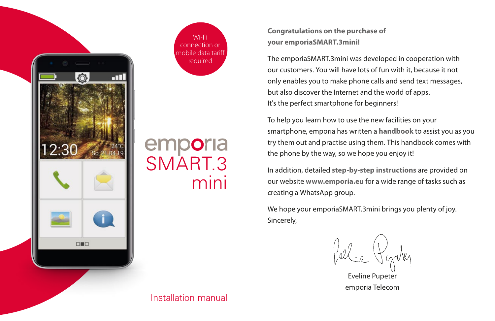

Wi-Fi connection or mobile data tariff required

# emporia<br>SMART.3 mini

**Congratulations on the purchase of your emporiaSMART.3mini!**

The emporiaSMART.3mini was developed in cooperation with our customers. You will have lots of fun with it, because it not only enables you to make phone calls and send text messages, but also discover the Internet and the world of apps. It's the perfect smartphone for beginners!

To help you learn how to use the new facilities on your smartphone, emporia has written a **handbook** to assist you as you try them out and practise using them. This handbook comes with the phone by the way, so we hope you enjoy it!

In addition, detailed **step-by-step instructions** are provided on our website **www.emporia.eu** for a wide range of tasks such as creating a WhatsApp group.

We hope your emporiaSMART.3mini brings you plenty of joy. Sincerely,

Pellie Pycky

Eveline Pupeter emporia Telecom

Installation manual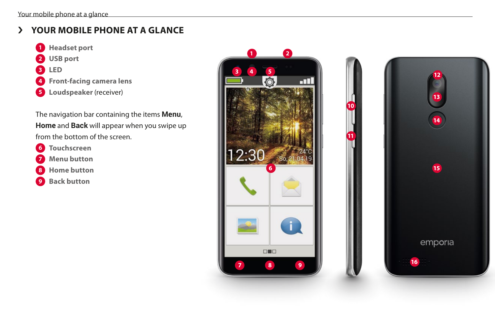# › **YOUR MOBILE PHONE AT A GLANCE**

- **Headset port USB port LED Front-facing camera lens**
- Loudspeaker (receiver)

The navigation bar containing the items **Menu**, **Home** and **Back** will appear when you swipe up from the bottom of the screen.

- **Touchscreen**
- **Menu button**
- **Home button**
- **Back button**



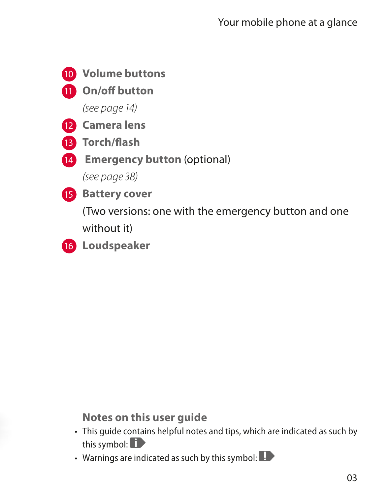

**Notes on this user guide**

- This guide contains helpful notes and tips, which are indicated as such by this symbol:  $\blacksquare$
- Warnings are indicated as such by this symbol: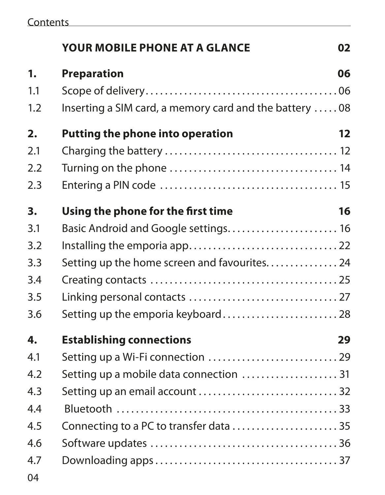|                  | <b>YOUR MOBILE PHONE AT A GLANCE</b>                   | 02 |
|------------------|--------------------------------------------------------|----|
| 1.               | <b>Preparation</b>                                     | 06 |
| 1.1              |                                                        |    |
| 1.2              | Inserting a SIM card, a memory card and the battery 08 |    |
| $\overline{2}$ . | Putting the phone into operation                       | 12 |
| 2.1              |                                                        |    |
| 2.2              |                                                        |    |
| 2.3              |                                                        |    |
| 3.               | Using the phone for the first time                     | 16 |
| 3.1              | Basic Android and Google settings 16                   |    |
| 3.2              |                                                        |    |
| 3.3              | Setting up the home screen and favourites. 24          |    |
| 3.4              |                                                        |    |
| 3.5              |                                                        |    |
| 3.6              | Setting up the emporia keyboard 28                     |    |
| 4.               | <b>Establishing connections</b>                        | 29 |
| 4.1              |                                                        |    |
| 4.2              | Setting up a mobile data connection  31                |    |
| 4.3              | Setting up an email account  32                        |    |
| 4.4              |                                                        |    |
| 4.5              |                                                        |    |
| 4.6              |                                                        |    |
| 4.7              |                                                        |    |
| 04               |                                                        |    |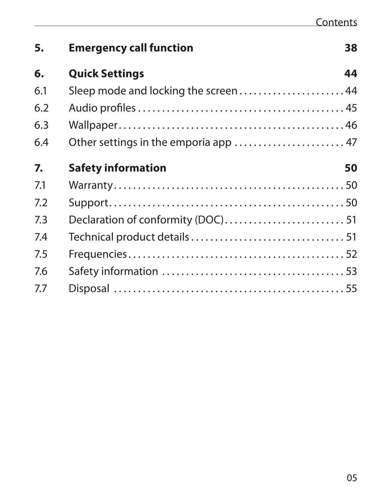| 5.  | <b>Emergency call function</b>      | 38 |
|-----|-------------------------------------|----|
| 6.  | <b>Quick Settings</b>               | 44 |
| 6.1 | Sleep mode and locking the screen44 |    |
| 6.2 |                                     |    |
| 6.3 |                                     |    |
| 6.4 |                                     |    |
| 7.  | <b>Safety information</b>           | 50 |
| 7.1 |                                     |    |
| 7.2 |                                     |    |
| 7.3 |                                     |    |
| 7.4 |                                     |    |
| 7.5 |                                     |    |
| 7.6 |                                     |    |
| 7.7 |                                     |    |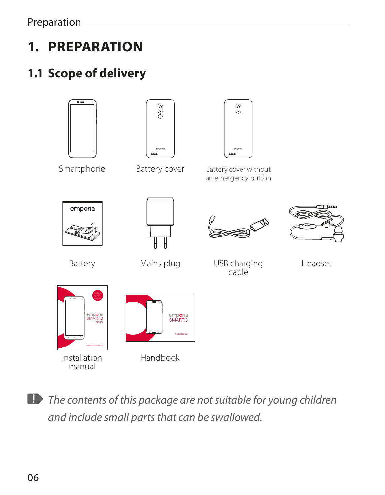# **1. PREPARATION**

# **1.1 Scope of delivery**







Smartphone Battery cover Battery cover without an emergency button









Battery Mains plug USB charging cable

Headset



Installation manual



Handbook

*The contents of this package are not suitable for young children and include small parts that can be swallowed.*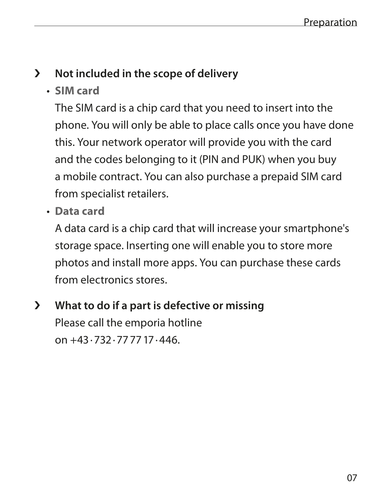## › **Not included in the scope of delivery**

• **SIM card**

The SIM card is a chip card that you need to insert into the phone. You will only be able to place calls once you have done this. Your network operator will provide you with the card and the codes belonging to it (PIN and PUK) when you buy a mobile contract. You can also purchase a prepaid SIM card from specialist retailers.

• **Data card**

A data card is a chip card that will increase your smartphone's storage space. Inserting one will enable you to store more photos and install more apps. You can purchase these cards from electronics stores.

› **What to do if a part is defective or missing** Please call the emporia hotline on +43·732·777717·446.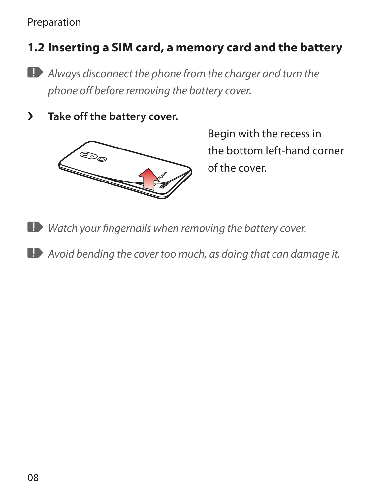## **1.2 Inserting a SIM card, a memory card and the battery**

- *Always disconnect the phone from the charger and turn the phone off before removing the battery cover.*
- › **Take off the battery cover.**



Begin with the recess in the bottom left-hand corner of the cover.

- *Watch your fingernails when removing the battery cover.*
- *Avoid bending the cover too much, as doing that can damage it.*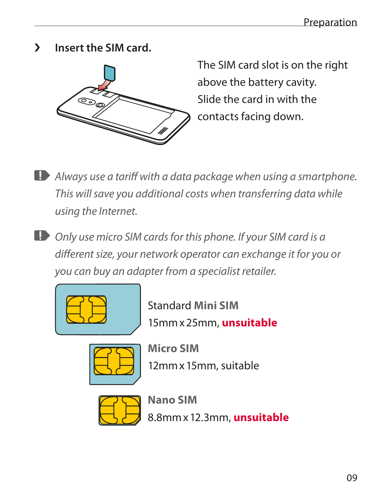› **Insert the SIM card.** 



The SIM card slot is on the right above the battery cavity. Slide the card in with the contacts facing down.

*Always use a tariff with a data package when using a smartphone. This will save you additional costs when transferring data while using the Internet.*

*Only use micro SIM cards for this phone. If your SIM card is a different size, your network operator can exchange it for you or you can buy an adapter from a specialist retailer.*



Standard **Mini SIM** 15mmx25mm, **unsuitable**



**Micro SIM** 12mmx15mm, suitable



**Nano SIM** 8.8mmx12.3mm, **unsuitable**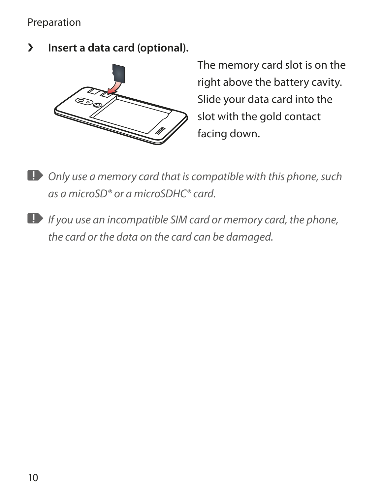› **Insert a data card (optional).** 



The memory card slot is on the right above the battery cavity. Slide your data card into the slot with the gold contact facing down.

- *Only use a memory card that is compatible with this phone, such as a microSD® or a microSDHC® card.*
- *If you use an incompatible SIM card or memory card, the phone, the card or the data on the card can be damaged.*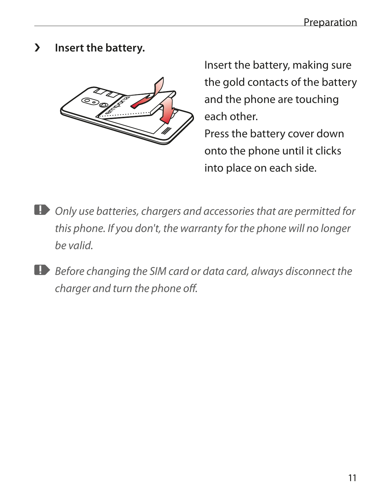› **Insert the battery.**



Insert the battery, making sure the gold contacts of the battery and the phone are touching each other.

Press the battery cover down onto the phone until it clicks into place on each side.

- *Only use batteries, chargers and accessories that are permitted for this phone. If you don't, the warranty for the phone will no longer be valid.*
- *Before changing the SIM card or data card, always disconnect the charger and turn the phone off.*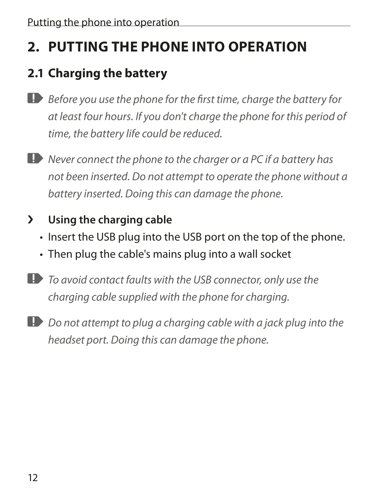# **2. PUTTING THE PHONE INTO OPERATION**

# **2.1 Charging the battery**

- *Before you use the phone for the first time, charge the battery for at least four hours. If you don't charge the phone for this period of time, the battery life could be reduced.*
- *Never connect the phone to the charger or a PC if a battery has not been inserted. Do not attempt to operate the phone without a battery inserted. Doing this can damage the phone.*

## › **Using the charging cable**

- Insert the USB plug into the USB port on the top of the phone.
- Then plug the cable's mains plug into a wall socket
- *To avoid contact faults with the USB connector, only use the charging cable supplied with the phone for charging.*
- **Do not attempt to plug a charging cable with a jack plug into the** *headset port. Doing this can damage the phone.*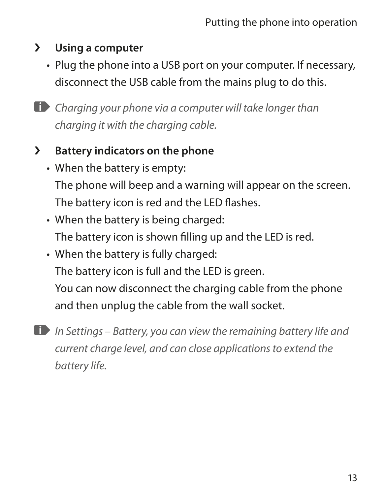## › **Using a computer**

- Plug the phone into a USB port on your computer. If necessary, disconnect the USB cable from the mains plug to do this.
- *Charging your phone via a computer will take longer than charging it with the charging cable.*

## › **Battery indicators on the phone**

- When the battery is empty: The phone will beep and a warning will appear on the screen. The battery icon is red and the LED flashes.
- When the battery is being charged: The battery icon is shown filling up and the LED is red.
- When the battery is fully charged: The battery icon is full and the LED is green. You can now disconnect the charging cable from the phone and then unplug the cable from the wall socket.

*In Settings – Battery, you can view the remaining battery life and current charge level, and can close applications to extend the battery life.*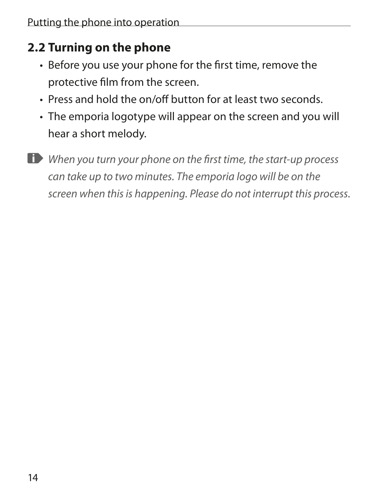# **2.2 Turning on the phone**

- Before you use your phone for the first time, remove the protective film from the screen.
- Press and hold the on/off button for at least two seconds.
- The emporia logotype will appear on the screen and you will hear a short melody.
- 

*When you turn your phone on the first time, the start-up process can take up to two minutes. The emporia logo will be on the screen when this is happening. Please do not interrupt this process.*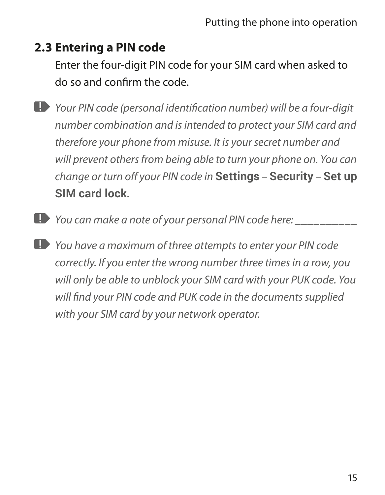## **2.3 Entering a PIN code**

Enter the four-digit PIN code for your SIM card when asked to do so and confirm the code.

*Your PIN code (personal identification number) will be a four-digit number combination and is intended to protect your SIM card and therefore your phone from misuse. It is your secret number and will prevent others from being able to turn your phone on. You can change or turn off your PIN code in* **Settings** *–* **Security** *–* **Set up SIM card lock***.*

- *You can make a note of your personal PIN code here: \_\_\_\_\_\_\_\_\_\_*
- *You have a maximum of three attempts to enter your PIN code correctly. If you enter the wrong number three times in a row, you will only be able to unblock your SIM card with your PUK code. You will find your PIN code and PUK code in the documents supplied with your SIM card by your network operator.*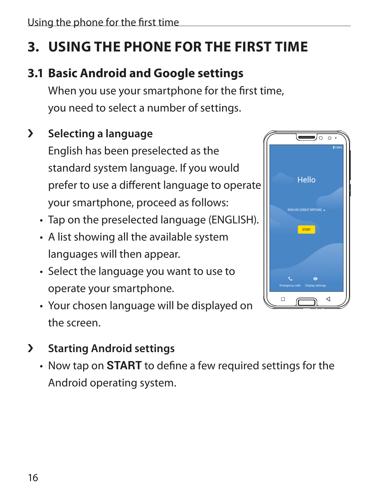# **3. USING THE PHONE FOR THE FIRST TIME**

# **3.1 Basic Android and Google settings**

When you use your smartphone for the first time, you need to select a number of settings.

# › **Selecting a language**

English has been preselected as the standard system language. If you would prefer to use a different language to operate your smartphone, proceed as follows:

- Tap on the preselected language (ENGLISH).
- A list showing all the available system languages will then appear.
- Select the language you want to use to operate your smartphone.
- Your chosen language will be displayed on the screen.
- › **Starting Android settings**
	- Now tap on **START** to define a few required settings for the Android operating system.

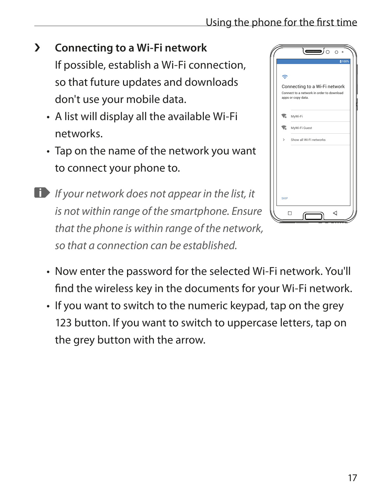## › **Connecting to a Wi-Fi network**

If possible, establish a Wi-Fi connection, so that future updates and downloads don't use your mobile data.

- A list will display all the available Wi-Fi networks.
- Tap on the name of the network you want to connect your phone to.
- *If your network does not appear in the list, it is not within range of the smartphone. Ensure that the phone is within range of the network, so that a connection can be established.*



- Now enter the password for the selected Wi-Fi network. You'll find the wireless key in the documents for your Wi-Fi network.
- If you want to switch to the numeric keypad, tap on the grey 123 button. If you want to switch to uppercase letters, tap on the grey button with the arrow.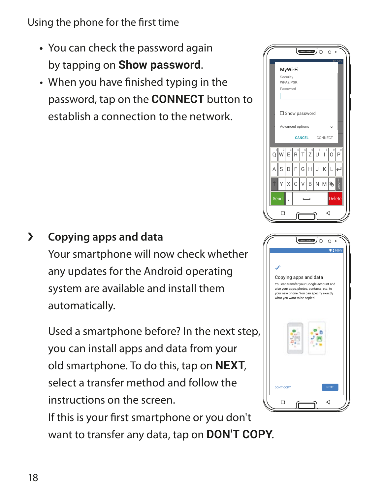#### Using the phone for the first time

- **•** You can check the password again by tapping on **Show password**.
- When you have finished typing in the password, tap on the **CONNECT** button to establish a connection to the network.



Your smartphone will now check whether any updates for the Android operating system are available and install them automatically.

Used a smartphone before? In the next step, you can install apps and data from your old smartphone. To do this, tap on **NEXT**, select a transfer method and follow the instructions on the screen.

If this is your first smartphone or you don't want to transfer any data, tap on **DON'T COPY**.

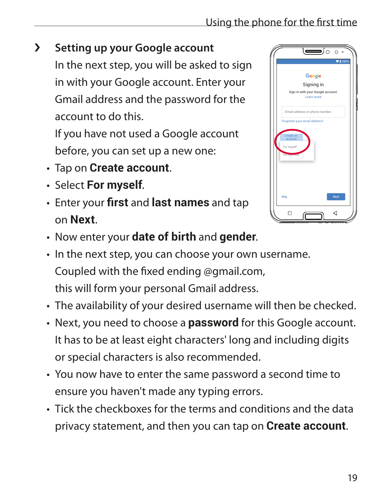## › **Setting up your Google account**

In the next step, you will be asked to sign in with your Google account. Enter your Gmail address and the password for the account to do this.

If you have not used a Google account before, you can set up a new one:

- Tap on **Create account**.
- Select **For myself**.
- Enter your **first** and **last names** and tap on **Next**.



- Now enter your **date of birth** and **gender**.
- In the next step, you can choose your own username. Coupled with the fixed ending @gmail.com, this will form your personal Gmail address.
- The availability of your desired username will then be checked.
- Next, you need to choose a **password** for this Google account. It has to be at least eight characters' long and including digits or special characters is also recommended.
- You now have to enter the same password a second time to ensure you haven't made any typing errors.
- Tick the checkboxes for the terms and conditions and the data privacy statement, and then you can tap on **Create account**.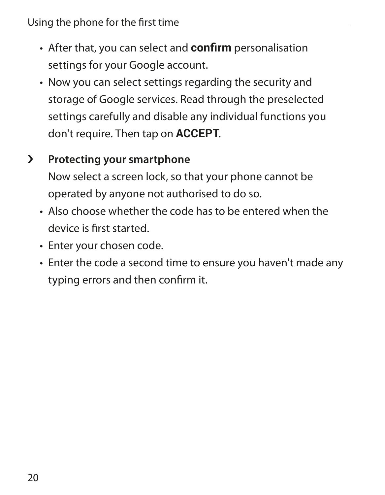- After that, you can select and **confirm** personalisation settings for your Google account.
- Now you can select settings regarding the security and storage of Google services. Read through the preselected settings carefully and disable any individual functions you don't require. Then tap on **ACCEPT**.

## › **Protecting your smartphone**

Now select a screen lock, so that your phone cannot be operated by anyone not authorised to do so.

- Also choose whether the code has to be entered when the device is first started.
- Enter your chosen code.
- Enter the code a second time to ensure you haven't made any typing errors and then confirm it.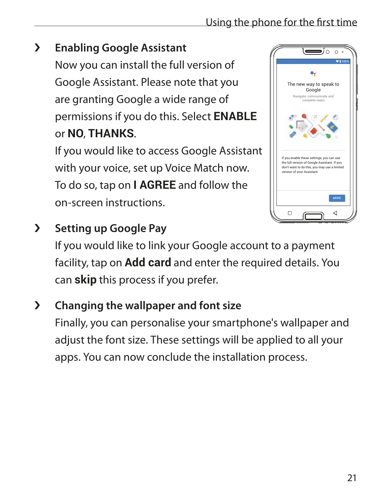# › **Enabling Google Assistant**

Now you can install the full version of Google Assistant. Please note that you are granting Google a wide range of permissions if you do this. Select **ENABLE** or **NO**, **THANKS**.

If you would like to access Google Assistant with your voice, set up Voice Match now. To do so, tap on **I AGREE** and follow the on-screen instructions.



# › **Setting up Google Pay**

If you would like to link your Google account to a payment facility, tap on **Add card** and enter the required details. You can **skip** this process if you prefer.

## › **Changing the wallpaper and font size**

Finally, you can personalise your smartphone's wallpaper and adjust the font size. These settings will be applied to all your apps. You can now conclude the installation process.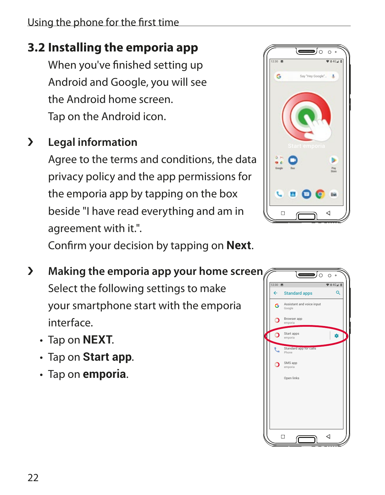# **3.2 Installing the emporia app**

When you've finished setting up Android and Google, you will see the Android home screen. Tap on the Android icon.

# › **Legal information**

Agree to the terms and conditions, the data privacy policy and the app permissions for the emporia app by tapping on the box beside "I have read everything and am in agreement with it.".



Confirm your decision by tapping on **Next**.

- › **Making the emporia app your home screen** Select the following settings to make your smartphone start with the emporia interface.
	- Tap on **NEXT**.
	- Tap on **Start app**.
	- Tap on **emporia**.

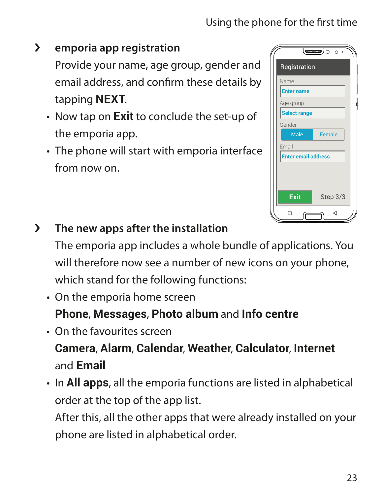# › **emporia app registration**

Provide your name, age group, gender and email address, and confirm these details by tapping **NEXT**.

- Now tap on **Exit** to conclude the set-up of the emporia app.
- The phone will start with emporia interface from now on.

|                            | $\overline{\phantom{a}}$ |
|----------------------------|--------------------------|
| Registration               |                          |
| Name                       |                          |
| <b>Enter name</b>          |                          |
| Age group                  |                          |
| <b>Select range</b>        |                          |
| Gender                     |                          |
| Male                       | <b>Female</b>            |
| Email                      |                          |
| <b>Enter email address</b> |                          |
|                            |                          |
|                            |                          |
| Exit                       | Step 3/3                 |
|                            |                          |
|                            | ⊲                        |

## › **The new apps after the installation**

The emporia app includes a whole bundle of applications. You will therefore now see a number of new icons on your phone, which stand for the following functions:

• On the emporia home screen

**Phone**, **Messages**, **Photo album** and **Info centre**

- On the favourites screen **Camera**, **Alarm**, **Calendar**, **Weather**, **Calculator**, **Internet**  and **Email**
- In **All apps**, all the emporia functions are listed in alphabetical order at the top of the app list.

After this, all the other apps that were already installed on your phone are listed in alphabetical order.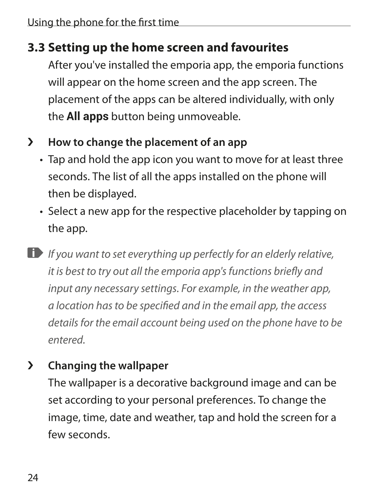## **3.3 Setting up the home screen and favourites**

After you've installed the emporia app, the emporia functions will appear on the home screen and the app screen. The placement of the apps can be altered individually, with only the **All apps** button being unmoveable.

## › **How to change the placement of an app**

- Tap and hold the app icon you want to move for at least three seconds. The list of all the apps installed on the phone will then be displayed.
- Select a new app for the respective placeholder by tapping on the app.
- *If you want to set everything up perfectly for an elderly relative, it is best to try out all the emporia app's functions briefly and input any necessary settings. For example, in the weather app, a location has to be specified and in the email app, the access details for the email account being used on the phone have to be entered.*

## › **Changing the wallpaper**

The wallpaper is a decorative background image and can be set according to your personal preferences. To change the image, time, date and weather, tap and hold the screen for a few seconds.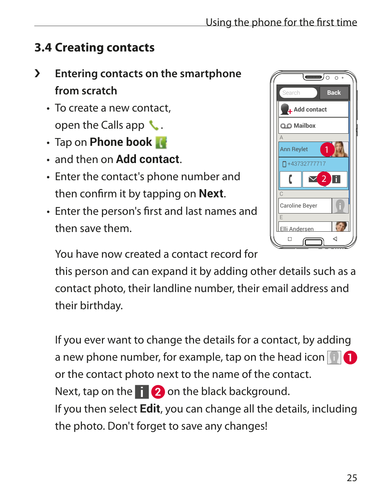## **3.4 Creating contacts**

- › **Entering contacts on the smartphone from scratch**
	- To create a new contact, open the Calls app  $\mathcal{L}$ .
	- Tap on **Phone book**
	- and then on **Add contact**.
	- Enter the contact's phone number and then confirm it by tapping on **Next**.
	- Enter the person's first and last names and then save them.

Back **Add contact Mailbox** A E Ann Reylet +43732777717 Caroline Beyer Elli Andersen 1 2

ਨ

You have now created a contact record for

this person and can expand it by adding other details such as a contact photo, their landline number, their email address and their birthday.

If you ever want to change the details for a contact, by adding a new phone number, for example, tap on the head icon **1** or the contact photo next to the name of the contact. Next, tap on the **2** on the black background. If you then select **Edit**, you can change all the details, including the photo. Don't forget to save any changes!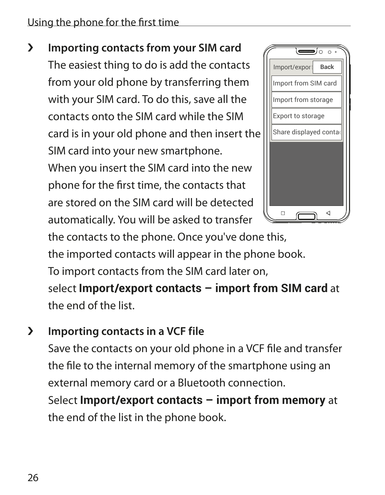#### Using the phone for the first time

› **Importing contacts from your SIM card** The easiest thing to do is add the contacts from your old phone by transferring them with your SIM card. To do this, save all the contacts onto the SIM card while the SIM card is in your old phone and then insert the SIM card into your new smartphone. When you insert the SIM card into the new phone for the first time, the contacts that are stored on the SIM card will be detected automatically. You will be asked to transfer



the contacts to the phone. Once you've done this, the imported contacts will appear in the phone book. To import contacts from the SIM card later on, select **Import/export contacts – import from SIM card** at the end of the list.

› **Importing contacts in a VCF file**

Save the contacts on your old phone in a VCF file and transfer the file to the internal memory of the smartphone using an external memory card or a Bluetooth connection.

Select **Import/export contacts – import from memory** at the end of the list in the phone book.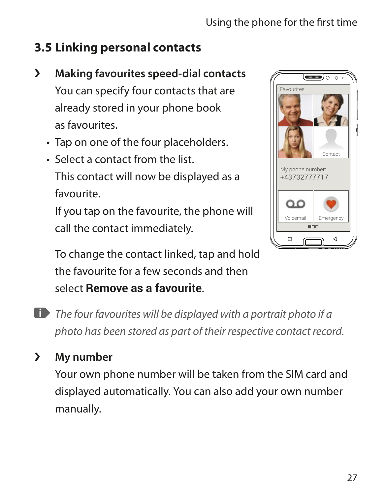# **3.5 Linking personal contacts**

- › **Making favourites speed-dial contacts** You can specify four contacts that are already stored in your phone book as favourites.
	- Tap on one of the four placeholders.
	- Select a contact from the list. This contact will now be displayed as a favourite.

If you tap on the favourite, the phone will call the contact immediately.



To change the contact linked, tap and hold the favourite for a few seconds and then select **Remove as a favourite**.

- *The four favourites will be displayed with a portrait photo if a photo has been stored as part of their respective contact record.*
- › **My number**

Your own phone number will be taken from the SIM card and displayed automatically. You can also add your own number manually.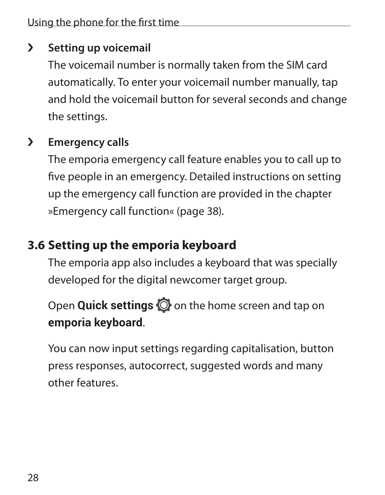#### › **Setting up voicemail**

The voicemail number is normally taken from the SIM card automatically. To enter your voicemail number manually, tap and hold the voicemail button for several seconds and change the settings.

## › **Emergency calls**

The emporia emergency call feature enables you to call up to five people in an emergency. Detailed instructions on setting up the emergency call function are provided in the chapter »Emergency call function« (page 38).

# **3.6 Setting up the emporia keyboard**

The emporia app also includes a keyboard that was specially developed for the digital newcomer target group.

Open **Quick settings**  $\overline{Q}$  on the home screen and tap on **emporia keyboard**.

You can now input settings regarding capitalisation, button press responses, autocorrect, suggested words and many other features.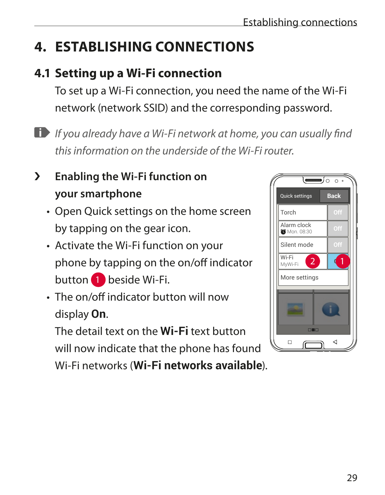# **4. ESTABLISHING CONNECTIONS**

# **4.1 Setting up a Wi-Fi connection**

To set up a Wi-Fi connection, you need the name of the Wi-Fi network (network SSID) and the corresponding password.

*If you already have a Wi-Fi network at home, you can usually find this information on the underside of the Wi-Fi router.*

# › **Enabling the Wi-Fi function on your smartphone**

- Open Quick settings on the home screen by tapping on the gear icon.
- Activate the Wi-Fi function on your phone by tapping on the on/off indicator button **1** beside Wi-Fi.
- The on/off indicator button will now display **On**.

The detail text on the **Wi-Fi** text button will now indicate that the phone has found

Wi-Fi networks (**Wi-Fi networks available**).

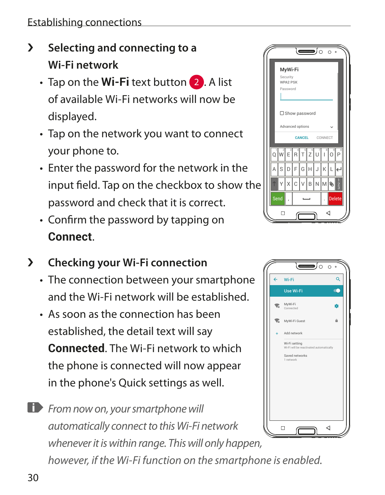- › **Selecting and connecting to a Wi-Fi network**
	- Tap on the **Wi-Fi** text button 2. A list of available Wi-Fi networks will now be displayed.
	- Tap on the network you want to connect your phone to.
	- Enter the password for the network in the input field. Tap on the checkbox to show the password and check that it is correct.
	- Confirm the password by tapping on **Connect**.
- › **Checking your Wi-Fi connection**
	- The connection between your smartphone and the Wi-Fi network will be established.
	- As soon as the connection has been established, the detail text will say **Connected**. The Wi-Fi network to which the phone is connected will now appear in the phone's Quick settings as well.

**From now on, your smartphone will** *automatically connect to this Wi-Fi network whenever it is within range. This will only happen, however, if the Wi-Fi function on the smartphone is enabled.*



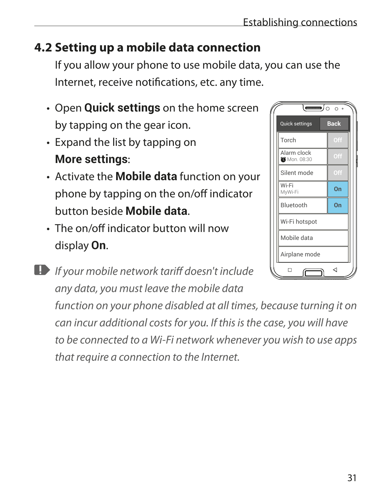# **4.2 Setting up a mobile data connection**

If you allow your phone to use mobile data, you can use the Internet, receive notifications, etc. any time.

- Open **Quick settings** on the home screen by tapping on the gear icon.
- Expand the list by tapping on **More settings**:
- Activate the **Mobile data** function on your phone by tapping on the on/off indicator button beside **Mobile data**.
- The on/off indicator button will now display **On**.
- *If your mobile network tariff doesn't include any data, you must leave the mobile data function on your phone disabled at all times, because turning it on can incur additional costs for you. If this is the case, you will have to be connected to a Wi-Fi network whenever you wish to use apps that require a connection to the Internet.*

| Quick settings                     | <b>Back</b> |  |
|------------------------------------|-------------|--|
| Torch                              | Off         |  |
| Alarm clock<br><b>C</b> Mon. 08:30 | Off         |  |
| Silent mode                        | Off         |  |
| Wi-Fi<br>MyWi-Fi                   | On          |  |
| Bluetooth                          | On          |  |
| Wi-Fi hotspot                      |             |  |
| Mobile data                        |             |  |
| Airplane mode                      |             |  |
|                                    | ⊲           |  |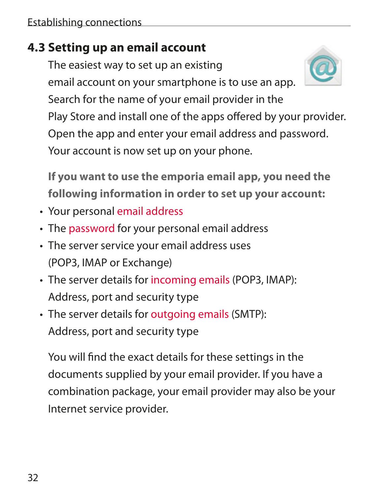## **4.3 Setting up an email account**

The easiest way to set up an existing email account on your smartphone is to use an app. Search for the name of your email provider in the Play Store and install one of the apps offered by your provider. Open the app and enter your email address and password. Your account is now set up on your phone.

**If you want to use the emporia email app, you need the following information in order to set up your account:**

- Your personal email address
- The password for your personal email address
- The server service your email address uses (POP3, IMAP or Exchange)
- The server details for incoming emails (POP3, IMAP): Address, port and security type
- The server details for outgoing emails (SMTP): Address, port and security type

You will find the exact details for these settings in the documents supplied by your email provider. If you have a combination package, your email provider may also be your Internet service provider.

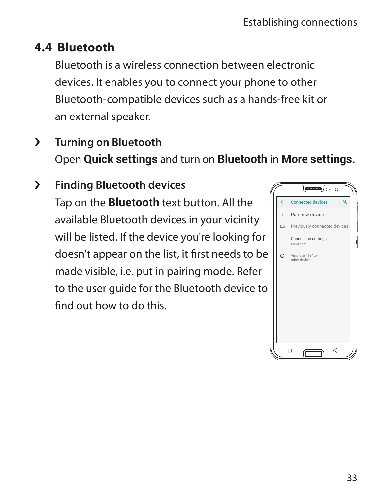## **4.4 Bluetooth**

Bluetooth is a wireless connection between electronic devices. It enables you to connect your phone to other Bluetooth-compatible devices such as a hands-free kit or an external speaker.

- › **Turning on Bluetooth** Open **Quick settings** and turn on **Bluetooth** in **More settings.**
- › **Finding Bluetooth devices** Tap on the **Bluetooth** text button. All the available Bluetooth devices in your vicinity will be listed. If the device you're looking for doesn't appear on the list, it first needs to be made visible, i.e. put in pairing mode. Refer to the user guide for the Bluetooth device to find out how to do this.

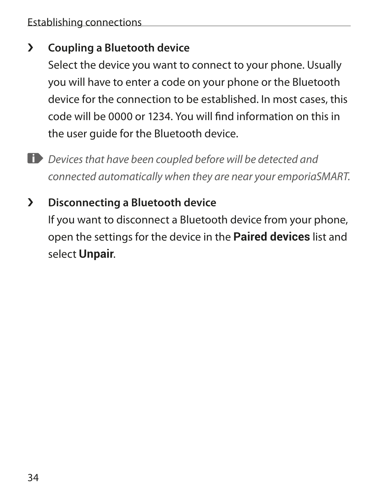## › **Coupling a Bluetooth device**

Select the device you want to connect to your phone. Usually you will have to enter a code on your phone or the Bluetooth device for the connection to be established. In most cases, this code will be 0000 or 1234. You will find information on this in the user guide for the Bluetooth device.

- *Devices that have been coupled before will be detected and connected automatically when they are near your emporiaSMART.*
- › **Disconnecting a Bluetooth device**

If you want to disconnect a Bluetooth device from your phone, open the settings for the device in the **Paired devices** list and select **Unpair**.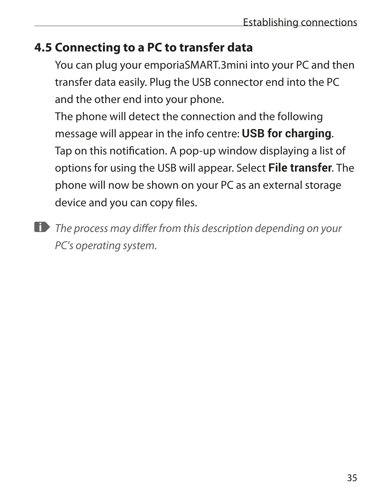## **4.5 Connecting to a PC to transfer data**

You can plug your emporiaSMART.3mini into your PC and then transfer data easily. Plug the USB connector end into the PC and the other end into your phone.

The phone will detect the connection and the following message will appear in the info centre: **USB for charging**. Tap on this notification. A pop-up window displaying a list of options for using the USB will appear. Select **File transfer**. The phone will now be shown on your PC as an external storage device and you can copy files.

*The process may differ from this description depending on your PC's operating system.*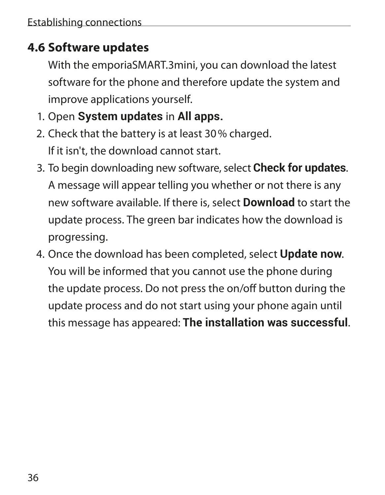## **4.6 Software updates**

With the emporiaSMART.3mini, you can download the latest software for the phone and therefore update the system and improve applications yourself.

- 1. Open **System updates** in **All apps.**
- 2. Check that the battery is at least 30% charged. If it isn't, the download cannot start.
- 3. To begin downloading new software, select **Check for updates**. A message will appear telling you whether or not there is any new software available. If there is, select **Download** to start the update process. The green bar indicates how the download is progressing.
- 4. Once the download has been completed, select **Update now**. You will be informed that you cannot use the phone during the update process. Do not press the on/off button during the update process and do not start using your phone again until this message has appeared: **The installation was successful**.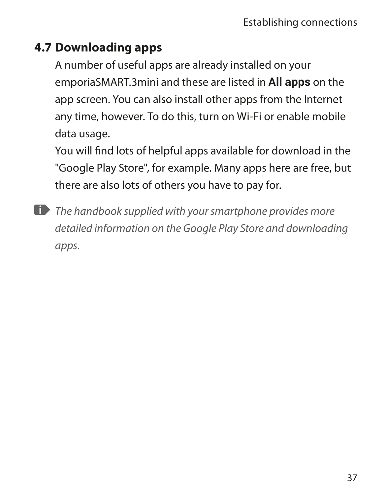# **4.7 Downloading apps**

A number of useful apps are already installed on your emporiaSMART.3mini and these are listed in **All apps** on the app screen. You can also install other apps from the Internet any time, however. To do this, turn on Wi-Fi or enable mobile data usage.

You will find lots of helpful apps available for download in the "Google Play Store", for example. Many apps here are free, but there are also lots of others you have to pay for.

*The handbook supplied with your smartphone provides more detailed information on the Google Play Store and downloading apps.*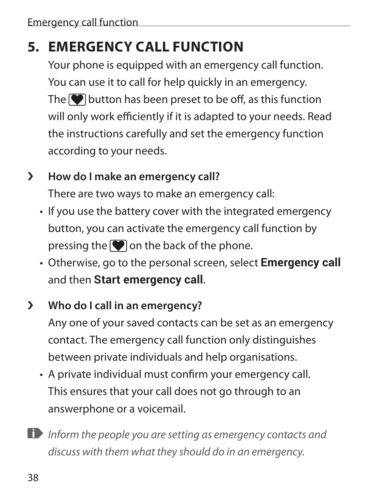# **5. EMERGENCY CALL FUNCTION**

Your phone is equipped with an emergency call function. You can use it to call for help quickly in an emergency. The  $\bigcirc$  button has been preset to be off, as this function will only work efficiently if it is adapted to your needs. Read the instructions carefully and set the emergency function according to your needs.

#### › **How do I make an emergency call?**

There are two ways to make an emergency call:

- If you use the battery cover with the integrated emergency button, you can activate the emergency call function by pressing the  $\Box$  on the back of the phone.
- Otherwise, go to the personal screen, select **Emergency call** and then **Start emergency call**.

## › **Who do I call in an emergency?**

Any one of your saved contacts can be set as an emergency contact. The emergency call function only distinguishes between private individuals and help organisations.

- A private individual must confirm your emergency call. This ensures that your call does not go through to an answerphone or a voicemail.
- *Inform the people you are setting as emergency contacts and discuss with them what they should do in an emergency.*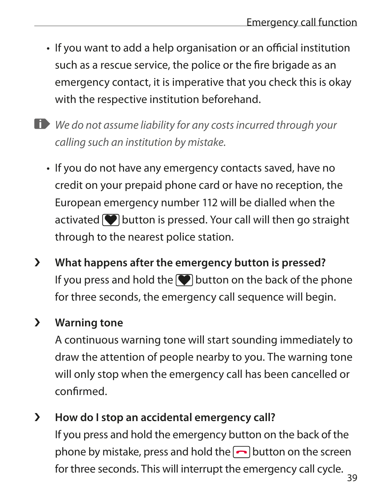- If you want to add a help organisation or an official institution such as a rescue service, the police or the fire brigade as an emergency contact, it is imperative that you check this is okay with the respective institution beforehand.
- *We do not assume liability for any costs incurred through your calling such an institution by mistake.*
	- If you do not have any emergency contacts saved, have no credit on your prepaid phone card or have no reception, the European emergency number 112 will be dialled when the activated  $\blacksquare$  button is pressed. Your call will then go straight through to the nearest police station.
- › **What happens after the emergency button is pressed?** If you press and hold the  $\blacktriangledown$  button on the back of the phone for three seconds, the emergency call sequence will begin.

#### › **Warning tone**

A continuous warning tone will start sounding immediately to draw the attention of people nearby to you. The warning tone will only stop when the emergency call has been cancelled or confirmed.

› **How do I stop an accidental emergency call?** If you press and hold the emergency button on the back of the phone by mistake, press and hold the  $\Box$  button on the screen for three seconds. This will interrupt the emergency call cycle.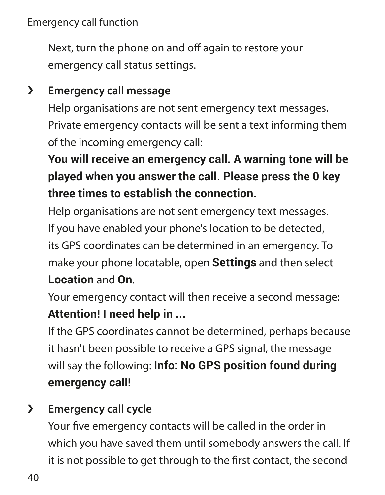Next, turn the phone on and off again to restore your emergency call status settings.

## › **Emergency call message**

Help organisations are not sent emergency text messages. Private emergency contacts will be sent a text informing them of the incoming emergency call:

# **You will receive an emergency call. A warning tone will be played when you answer the call. Please press the 0 key three times to establish the connection.**

Help organisations are not sent emergency text messages. If you have enabled your phone's location to be detected, its GPS coordinates can be determined in an emergency. To make your phone locatable, open **Settings** and then select **Location** and **On**.

Your emergency contact will then receive a second message: **Attention! I need help in ...**

If the GPS coordinates cannot be determined, perhaps because it hasn't been possible to receive a GPS signal, the message will say the following: **Info: No GPS position found during emergency call!**

## › **Emergency call cycle**

Your five emergency contacts will be called in the order in which you have saved them until somebody answers the call. If it is not possible to get through to the first contact, the second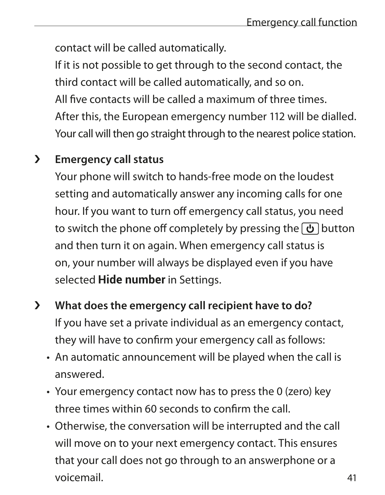contact will be called automatically.

If it is not possible to get through to the second contact, the third contact will be called automatically, and so on. All five contacts will be called a maximum of three times. After this, the European emergency number 112 will be dialled. Your call will then go straight through to the nearest police station.

#### › **Emergency call status**

Your phone will switch to hands-free mode on the loudest setting and automatically answer any incoming calls for one hour. If you want to turn off emergency call status, you need to switch the phone off completely by pressing the  $\boxed{b}$  button and then turn it on again. When emergency call status is on, your number will always be displayed even if you have selected **Hide number** in Settings.

- › **What does the emergency call recipient have to do?** If you have set a private individual as an emergency contact, they will have to confirm your emergency call as follows:
	- An automatic announcement will be played when the call is answered.
	- Your emergency contact now has to press the 0 (zero) key three times within 60 seconds to confirm the call.
	- Otherwise, the conversation will be interrupted and the call will move on to your next emergency contact. This ensures that your call does not go through to an answerphone or a voicemail.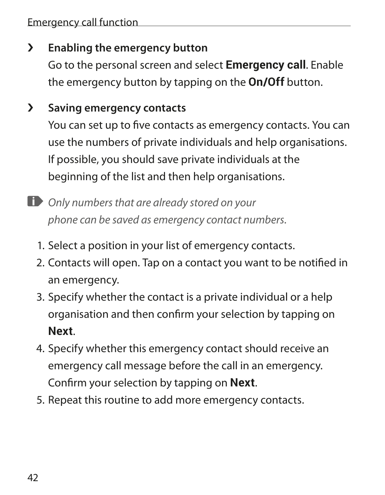#### › **Enabling the emergency button**

Go to the personal screen and select **Emergency call**. Enable the emergency button by tapping on the **On/Off** button.

## › **Saving emergency contacts**

You can set up to five contacts as emergency contacts. You can use the numbers of private individuals and help organisations. If possible, you should save private individuals at the beginning of the list and then help organisations.

- *Only numbers that are already stored on your phone can be saved as emergency contact numbers.*
	- 1. Select a position in your list of emergency contacts.
	- 2. Contacts will open. Tap on a contact you want to be notified in an emergency.
	- 3. Specify whether the contact is a private individual or a help organisation and then confirm your selection by tapping on **Next**.
	- 4. Specify whether this emergency contact should receive an emergency call message before the call in an emergency. Confirm your selection by tapping on **Next**.
	- 5. Repeat this routine to add more emergency contacts.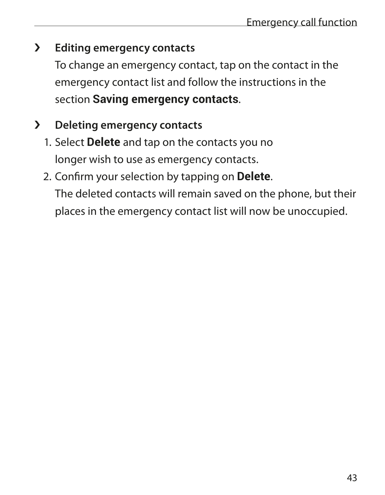## › **Editing emergency contacts**

To change an emergency contact, tap on the contact in the emergency contact list and follow the instructions in the section **Saving emergency contacts**.

# › **Deleting emergency contacts**

- 1. Select **Delete** and tap on the contacts you no longer wish to use as emergency contacts.
- 2. Confirm your selection by tapping on **Delete**. The deleted contacts will remain saved on the phone, but their places in the emergency contact list will now be unoccupied.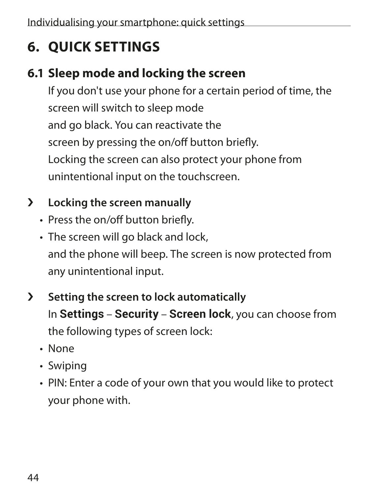# **6. QUICK SETTINGS**

# **6.1 Sleep mode and locking the screen**

If you don't use your phone for a certain period of time, the screen will switch to sleep mode and go black. You can reactivate the screen by pressing the on/off button briefly. Locking the screen can also protect your phone from unintentional input on the touchscreen.

## › **Locking the screen manually**

- Press the on/off button briefly.
- The screen will go black and lock, and the phone will beep. The screen is now protected from any unintentional input.
- › **Setting the screen to lock automatically** In **Settings** – **Security** – **Screen lock**, you can choose from the following types of screen lock:
	- None
	- Swiping
	- PIN: Enter a code of your own that you would like to protect your phone with.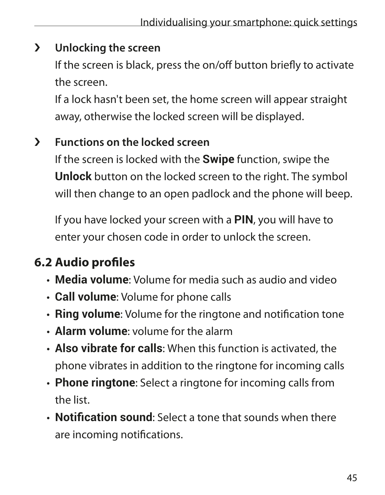#### › **Unlocking the screen**

If the screen is black, press the on/off button briefly to activate the screen.

If a lock hasn't been set, the home screen will appear straight away, otherwise the locked screen will be displayed.

## › **Functions on the locked screen**

If the screen is locked with the **Swipe** function, swipe the **Unlock** button on the locked screen to the right. The symbol will then change to an open padlock and the phone will beep.

If you have locked your screen with a **PIN**, you will have to enter your chosen code in order to unlock the screen.

# **6.2 Audio profiles**

- **Media volume**: Volume for media such as audio and video
- **Call volume**: Volume for phone calls
- **Ring volume**: Volume for the ringtone and notification tone
- **Alarm volume**: volume for the alarm
- **Also vibrate for calls**: When this function is activated, the phone vibrates in addition to the ringtone for incoming calls
- **Phone ringtone**: Select a ringtone for incoming calls from the list.
- **Notification sound**: Select a tone that sounds when there are incoming notifications.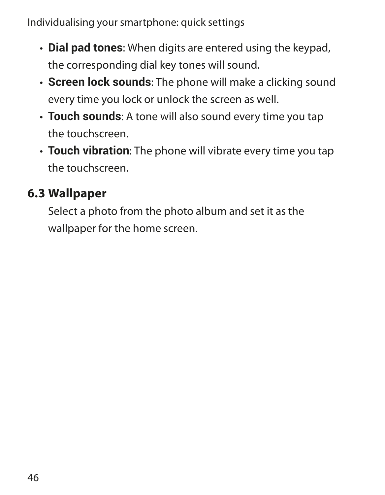- **Dial pad tones**: When digits are entered using the keypad, the corresponding dial key tones will sound.
- **Screen lock sounds**: The phone will make a clicking sound every time you lock or unlock the screen as well.
- **Touch sounds**: A tone will also sound every time you tap the touchscreen.
- **Touch vibration**: The phone will vibrate every time you tap the touchscreen.

# **6.3 Wallpaper**

Select a photo from the photo album and set it as the wallpaper for the home screen.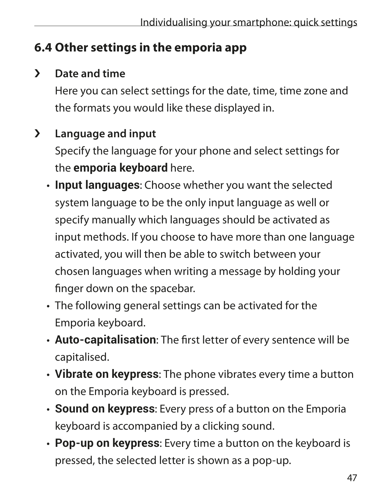# **6.4 Other settings in the emporia app**

## › **Date and time**

Here you can select settings for the date, time, time zone and the formats you would like these displayed in.

## › **Language and input**

Specify the language for your phone and select settings for the **emporia keyboard** here.

- **Input languages**: Choose whether you want the selected system language to be the only input language as well or specify manually which languages should be activated as input methods. If you choose to have more than one language activated, you will then be able to switch between your chosen languages when writing a message by holding your finger down on the spacebar.
- The following general settings can be activated for the Emporia keyboard.
- **Auto-capitalisation**: The first letter of every sentence will be capitalised.
- **Vibrate on keypress**: The phone vibrates every time a button on the Emporia keyboard is pressed.
- **Sound on keypress**: Every press of a button on the Emporia keyboard is accompanied by a clicking sound.
- **Pop-up on keypress**: Every time a button on the keyboard is pressed, the selected letter is shown as a pop-up.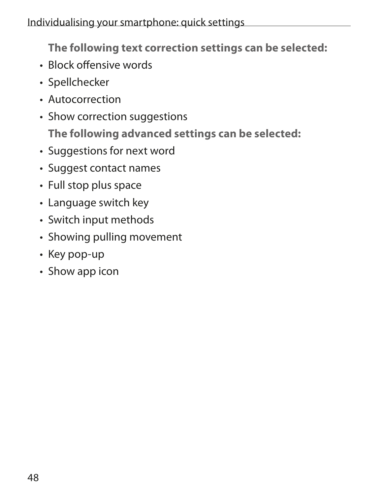**The following text correction settings can be selected:**

- Block offensive words
- Spellchecker
- Autocorrection
- Show correction suggestions **The following advanced settings can be selected:**
- Suggestions for next word
- Suggest contact names
- Full stop plus space
- Language switch key
- Switch input methods
- Showing pulling movement
- Key pop-up
- Show app icon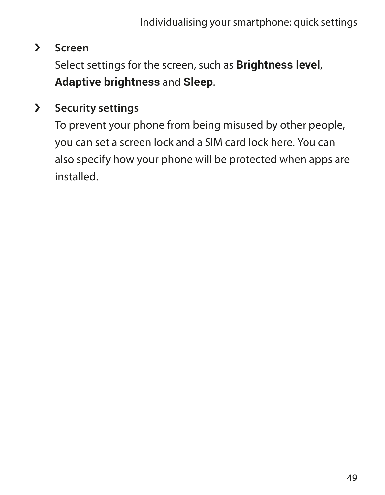#### › **Screen**

Select settings for the screen, such as **Brightness level**, **Adaptive brightness** and **Sleep**.

## › **Security settings**

To prevent your phone from being misused by other people, you can set a screen lock and a SIM card lock here. You can also specify how your phone will be protected when apps are installed.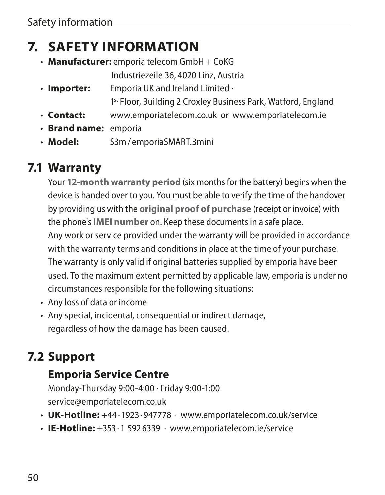# **7. SAFETY INFORMATION**

• **Manufacturer:** emporia telecom GmbH + CoKG

Industriezeile 36, 4020 Linz, Austria

- **Importer:** Emporia UK and Ireland Limited · 1<sup>st</sup> Floor, Building 2 Croxley Business Park, Watford, England
- **Contact:** www.emporiatelecom.co.uk or www.emporiatelecom.ie
- **Brand name:** emporia
- **Model:** S3m/ emporiaSMART.3mini

# **7.1 Warranty**

Your **12-month warranty period** (six months for the battery) begins when the device is handed over to you. You must be able to verify the time of the handover by providing us with the **original proof of purchase** (receipt or invoice) with the phone's **IMEI number** on. Keep these documents in a safe place. Any work or service provided under the warranty will be provided in accordance with the warranty terms and conditions in place at the time of your purchase. The warranty is only valid if original batteries supplied by emporia have been used. To the maximum extent permitted by applicable law, emporia is under no circumstances responsible for the following situations:

- Any loss of data or income
- Any special, incidental, consequential or indirect damage, regardless of how the damage has been caused.

# **7.2 Support**

## **Emporia Service Centre**

Monday-Thursday 9:00-4:00 · Friday 9:00-1:00 service@emporiatelecom.co.uk

- **UK-Hotline:** +44 · 1923 · 947778 · www.emporiatelecom.co.uk/service
- **IE-Hotline:** +353 · 1 592 6339 · www.emporiatelecom.ie/service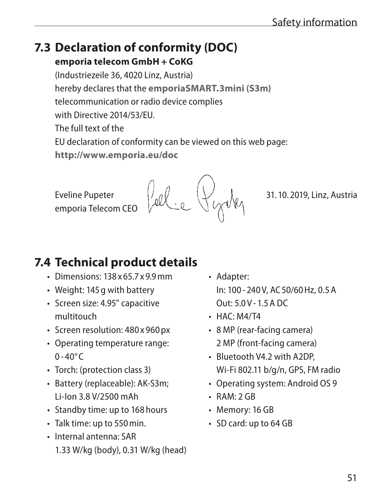#### **7.3 Declaration of conformity (DOC) emporia telecom GmbH + CoKG**

(Industriezeile 36, 4020 Linz, Austria) hereby declares that the **emporiaSMART.3mini (S3m)** telecommunication or radio device complies with Directive 2014/53/EU. The full text of the EU declaration of conformity can be viewed on this web page: **http://www.emporia.eu/doc**

emporia Telecom CEO

# **7.4 Technical product details**

- Dimensions: 138 x 65.7 x 9.9mm
- Weight: 145g with battery
- Screen size: 4.95" capacitive multitouch
- Screen resolution: 480 x 960 px
- Operating temperature range:  $0 - 40^{\circ}C$
- Torch: (protection class 3)
- Battery (replaceable): AK-S3m; Li-Ion 3.8 V/2500 mAh
- Standby time: up to 168hours
- Talk time: up to 550min.
- Internal antenna: SAR 1.33 W/kg (body), 0.31 W/kg (head)
- Adapter: In: 100 - 240V, AC50/60Hz, 0.5A  $Q$ ut: 5.0V-1.5A DC
- $\cdot$  HAC: M4/T4
- 8 MP (rear-facing camera) 2 MP (front-facing camera)
- Bluetooth V4.2 with A2DP, Wi-Fi 802.11 b/g/n, GPS, FM radio
- Operating system: Android OS 9
- $\cdot$  RAM $\cdot$  2 GR
- Memory: 16 GB
- SD card: up to 64 GB

Eveline Pupeter  $\frac{1}{2}$   $\frac{1}{2}$   $\frac{1}{2}$   $\frac{1}{2}$   $\frac{1}{2}$   $\frac{1}{2}$   $\frac{1}{2}$  31. 10. 2019, Linz, Austria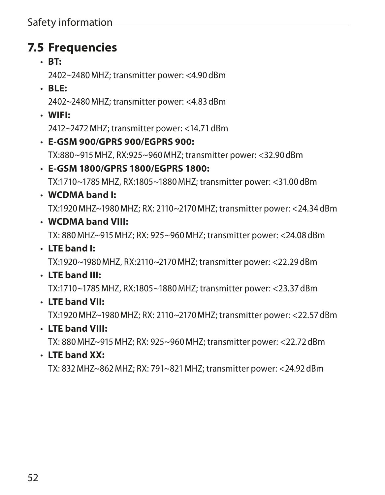## **7.5 Frequencies**

• **BT:**

2402~2480MHZ; transmitter power: <4.90dBm

• **BLE:**

2402~2480MHZ; transmitter power: <4.83dBm

• **WIFI:** 

2412~2472MHZ; transmitter power: <14.71dBm

- **E-GSM 900/GPRS 900/EGPRS 900:**  TX:880~915MHZ, RX:925~960MHZ; transmitter power: <32.90dBm
- **E-GSM 1800/GPRS 1800/EGPRS 1800:** TX:1710~1785MHZ, RX:1805~1880MHZ; transmitter power: <31.00dBm
- **WCDMA band I:**  TX:1920MHZ~1980MHZ; RX: 2110~2170MHZ; transmitter power: <24.34dBm
- **WCDMA band VIII:**

TX: 880MHZ~915MHZ; RX: 925~960MHZ; transmitter power: <24.08dBm

• **LTE band I:** 

TX:1920~1980MHZ, RX:2110~2170MHZ; transmitter power: <22.29dBm

• **LTE band III:** 

TX:1710~1785MHZ, RX:1805~1880MHZ; transmitter power: <23.37dBm

• **LTE band VII:** 

TX:1920MHZ~1980MHZ; RX: 2110~2170MHZ; transmitter power: <22.57dBm

• **LTE band VIII:** 

TX: 880MHZ~915MHZ; RX: 925~960MHZ; transmitter power: <22.72dBm

• **LTE band XX:** 

TX: 832MHZ~862MHZ; RX: 791~821MHZ; transmitter power: <24.92dBm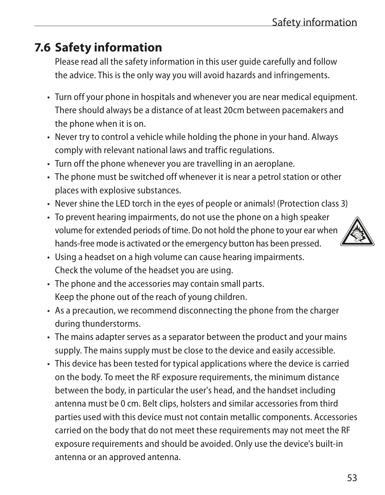# **7.6 Safety information**

Please read all the safety information in this user guide carefully and follow the advice. This is the only way you will avoid hazards and infringements.

- Turn off your phone in hospitals and whenever you are near medical equipment. There should always be a distance of at least 20cm between pacemakers and the phone when it is on.
- Never try to control a vehicle while holding the phone in your hand. Always comply with relevant national laws and traffic regulations.
- Turn off the phone whenever you are travelling in an aeroplane.
- The phone must be switched off whenever it is near a petrol station or other places with explosive substances.
- Never shine the LED torch in the eyes of people or animals! (Protection class 3)
- To prevent hearing impairments, do not use the phone on a high speaker volume for extended periods of time. Do not hold the phone to your ear when hands-free mode is activated or the emergency button has been pressed.



- Using a headset on a high volume can cause hearing impairments. Check the volume of the headset you are using.
- The phone and the accessories may contain small parts. Keep the phone out of the reach of young children.
- As a precaution, we recommend disconnecting the phone from the charger during thunderstorms.
- The mains adapter serves as a separator between the product and your mains supply. The mains supply must be close to the device and easily accessible.
- This device has been tested for typical applications where the device is carried on the body. To meet the RF exposure requirements, the minimum distance between the body, in particular the user's head, and the handset including antenna must be 0 cm. Belt clips, holsters and similar accessories from third parties used with this device must not contain metallic components. Accessories carried on the body that do not meet these requirements may not meet the RF exposure requirements and should be avoided. Only use the device's built-in antenna or an approved antenna.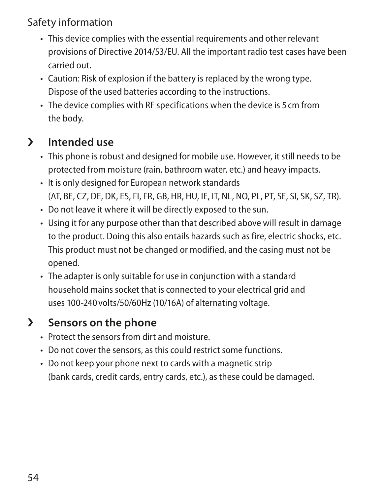#### Safety information

- This device complies with the essential requirements and other relevant provisions of Directive 2014/53/EU. All the important radio test cases have been carried out.
- Caution: Risk of explosion if the battery is replaced by the wrong type. Dispose of the used batteries according to the instructions.
- The device complies with RF specifications when the device is 5 cm from the body.

#### › **Intended use**

- This phone is robust and designed for mobile use. However, it still needs to be protected from moisture (rain, bathroom water, etc.) and heavy impacts.
- It is only designed for European network standards (AT, BE, CZ, DE, DK, ES, FI, FR, GB, HR, HU, IE, IT, NL, NO, PL, PT, SE, SI, SK, SZ, TR).
- Do not leave it where it will be directly exposed to the sun.
- Using it for any purpose other than that described above will result in damage to the product. Doing this also entails hazards such as fire, electric shocks, etc. This product must not be changed or modified, and the casing must not be opened.
- The adapter is only suitable for use in conjunction with a standard household mains socket that is connected to your electrical grid and uses 100-240 volts/50/60Hz (10/16A) of alternating voltage.

## › **Sensors on the phone**

- Protect the sensors from dirt and moisture.
- Do not cover the sensors, as this could restrict some functions.
- Do not keep your phone next to cards with a magnetic strip (bank cards, credit cards, entry cards, etc.), as these could be damaged.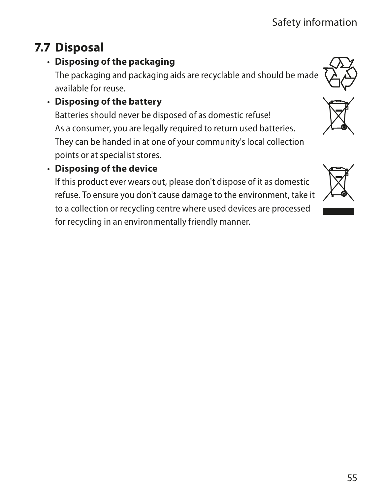# **7.7 Disposal**

## • **Disposing of the packaging**

The packaging and packaging aids are recyclable and should be made available for reuse.

#### • **Disposing of the battery**

Batteries should never be disposed of as domestic refuse! As a consumer, you are legally required to return used batteries. They can be handed in at one of your community's local collection points or at specialist stores.

## • **Disposing of the device**

If this product ever wears out, please don't dispose of it as domestic refuse. To ensure you don't cause damage to the environment, take it to a collection or recycling centre where used devices are processed for recycling in an environmentally friendly manner.